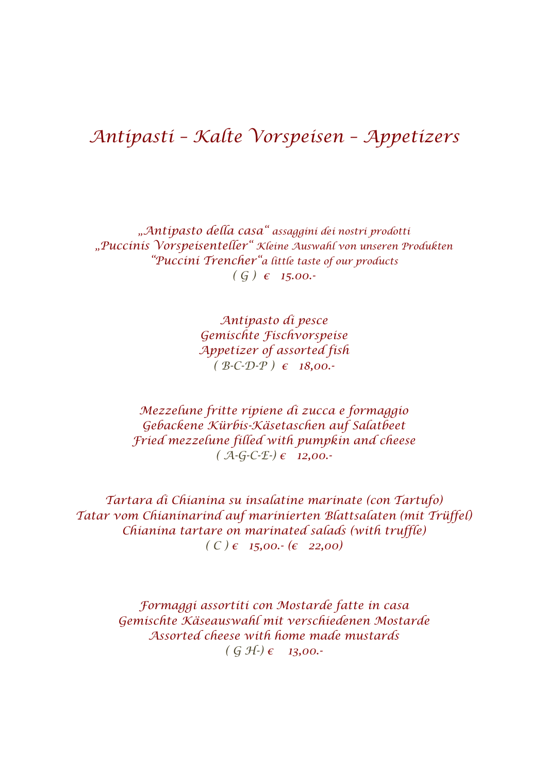## *Antipasti – Kalte Vorspeisen – Appetizers*

*"Antipasto della casa" assaggini dei nostri prodotti "Puccinis Vorspeisenteller" Kleine Auswahl von unseren Produkten "Puccini Trencher"a little taste of our products ( G ) € 15.00.-*

> *Antipasto di pesce Gemischte Fischvorspeise Appetizer of assorted fish ( B-C-D-P ) € 18,00.-*

*Mezzelune fritte ripiene di zucca e formaggio Gebackene Kürbis-Käsetaschen auf Salatbeet Fried mezzelune filled with pumpkin and cheese ( A-G-C-E-) € 12,00.-*

*Tartara di Chianina su insalatine marinate (con Tartufo) Tatar vom Chianinarind auf marinierten Blattsalaten (mit Trüffel) Chianina tartare on marinated salads (with truffle)*  $(C) \in 15,00 \cdot (€ 22,00)$ 

> *Formaggi assortiti con Mostarde fatte in casa Gemischte Käseauswahl mit verschiedenen Mostarde Assorted cheese with home made mustards ( G H-) € 13,00.-*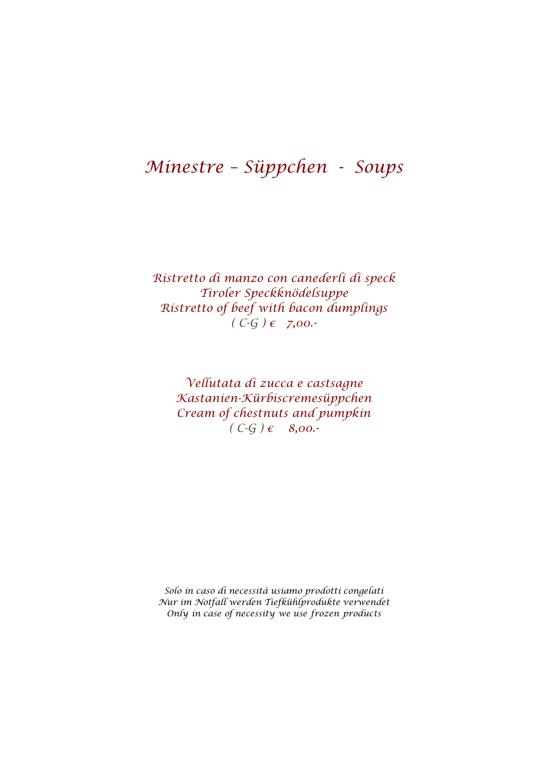## *Minestre – Süppchen - Soups*

*Ristretto di manzo con canederli di speck Tiroler Speckknödelsuppe Ristretto of beef with bacon dumplings*  $(C-G) ∈ 7,00.$ 

*Vellutata di zucca e castsagne Kastanien-Kürbiscremesüppchen Cream of chestnuts and pumpkin*   $(C-G) ∈ B, 00.$ 

*Solo in caso di necessità usiamo prodotti congelati Nur im Notfall werden Tiefkühlprodukte verwendet Only in case of necessity we use frozen products*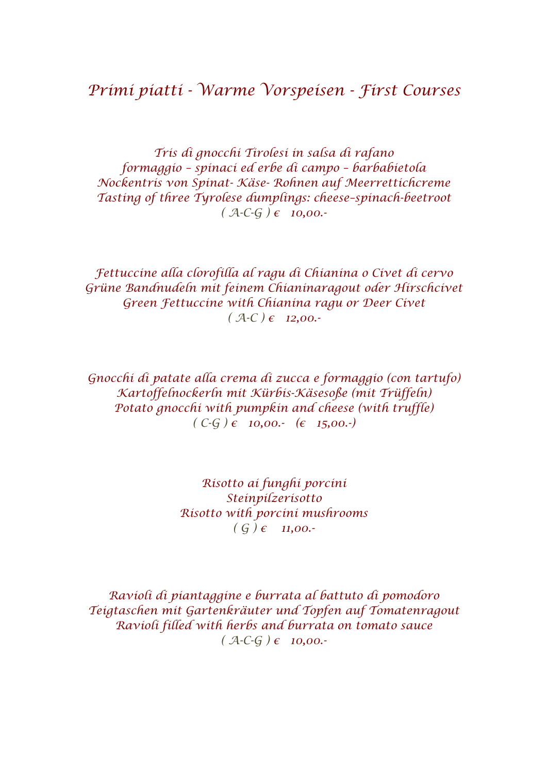*Tris di gnocchi Tirolesi in salsa di rafano formaggio – spinaci ed erbe di campo – barbabietola Nockentris von Spinat- Käse- Rohnen auf Meerrettichcreme Tasting of three Tyrolese dumplings: cheese–spinach-beetroot*  $(A-C-G)$   $\epsilon$  **10,00.** 

*Fettuccine alla clorofilla al ragu di Chianina o Civet di cervo Grüne Bandnudeln mit feinem Chianinaragout oder Hirschcivet Green Fettuccine with Chianina ragu or Deer Civet*   $(A-C) \in 12,00.$ 

*Gnocchi di patate alla crema di zucca e formaggio (con tartufo) Kartoffelnockerln mit Kürbis-Käsesoße (mit Trüffeln) Potato gnocchi with pumpkin and cheese (with truffle) ( C-G ) € 10,00.- (€ 15,00.-)*

> *Risotto ai funghi porcini Steinpilzerisotto Risotto with porcini mushrooms*  $( G ) ∈ 11,00. -$

*Ravioli di piantaggine e burrata al battuto di pomodoro Teigtaschen mit Gartenkräuter und Topfen auf Tomatenragout Ravioli filled with herbs and burrata on tomato sauce*  $(A-C-G) ∈ 10,00.$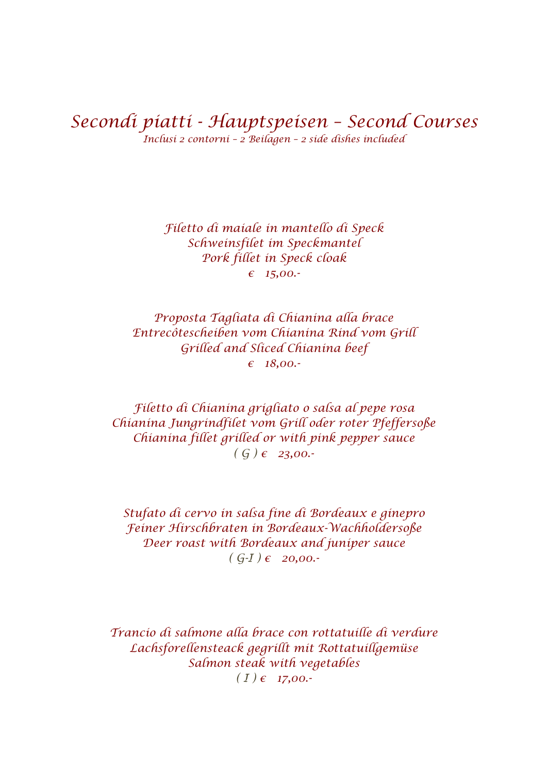*Secondi piatti - Hauptspeisen – Second Courses Inclusi 2 contorni – 2 Beilagen – 2 side dishes included*

> *Filetto di maiale in mantello di Speck Schweinsfilet im Speckmantel Pork fillet in Speck cloak € 15,00.-*

*Proposta Tagliata di Chianina alla brace Entrecôtescheiben vom Chianina Rind vom Grill Grilled and Sliced Chianina beef € 18,00.-*

*Filetto di Chianina grigliato o salsa al pepe rosa Chianina Jungrindfilet vom Grill oder roter Pfeffersoße Chianina fillet grilled or with pink pepper sauce ( G ) € 23,00.-*

*Stufato di cervo in salsa fine di Bordeaux e ginepro Feiner Hirschbraten in Bordeaux-Wachholdersoße Deer roast with Bordeaux and juniper sauce*  $(G-I) \in 20,00$ .

*Trancio di salmone alla brace con rottatuille di verdure Lachsforellensteack gegrillt mit Rottatuillgemüse Salmon steak with vegetables*  $(I) \in 17,00.$ <sup>→</sup>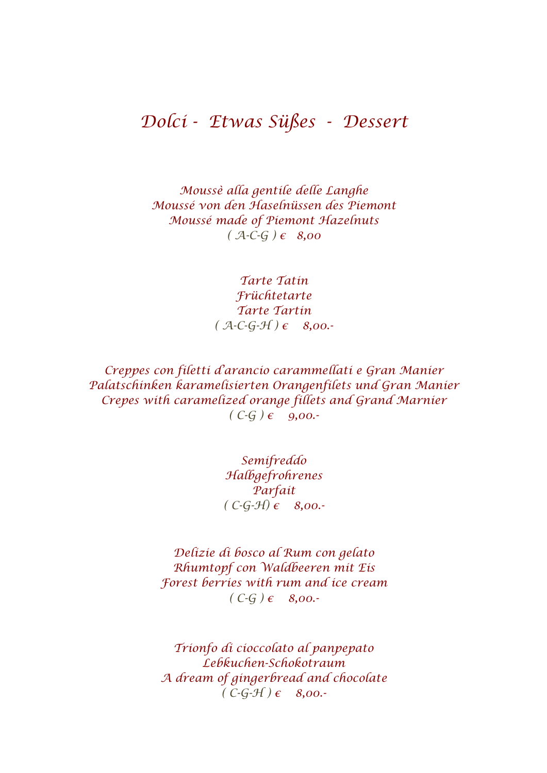## *Dolci - Etwas Süßes - Dessert*

*Moussè alla gentile delle Langhe Moussé von den Haselnüssen des Piemont Moussé made of Piemont Hazelnuts*   $(A - C - G) ∈ 8,00$ 

> *Tarte Tatin Früchtetarte Tarte Tartin*  $(A - C - G - H) \in 8,00$ .

*Creppes con filetti d'arancio carammellati e Gran Manier Palatschinken karamelisierten Orangenfilets und Gran Manier Crepes with caramelized orange fillets and Grand Marnier*  $(C-G) \in$  9,00.

> *Semifreddo Halbgefrohrenes Parfait ( C-G-H) € 8,00.-*

*Delizie di bosco al Rum con gelato Rhumtopf con Waldbeeren mit Eis Forest berries with rum and ice cream ( C-G ) € 8,00.-*

*Trionfo di cioccolato al panpepato Lebkuchen-Schokotraum A dream of gingerbread and chocolate*   $(C-G-f) \in$  *8,00.*